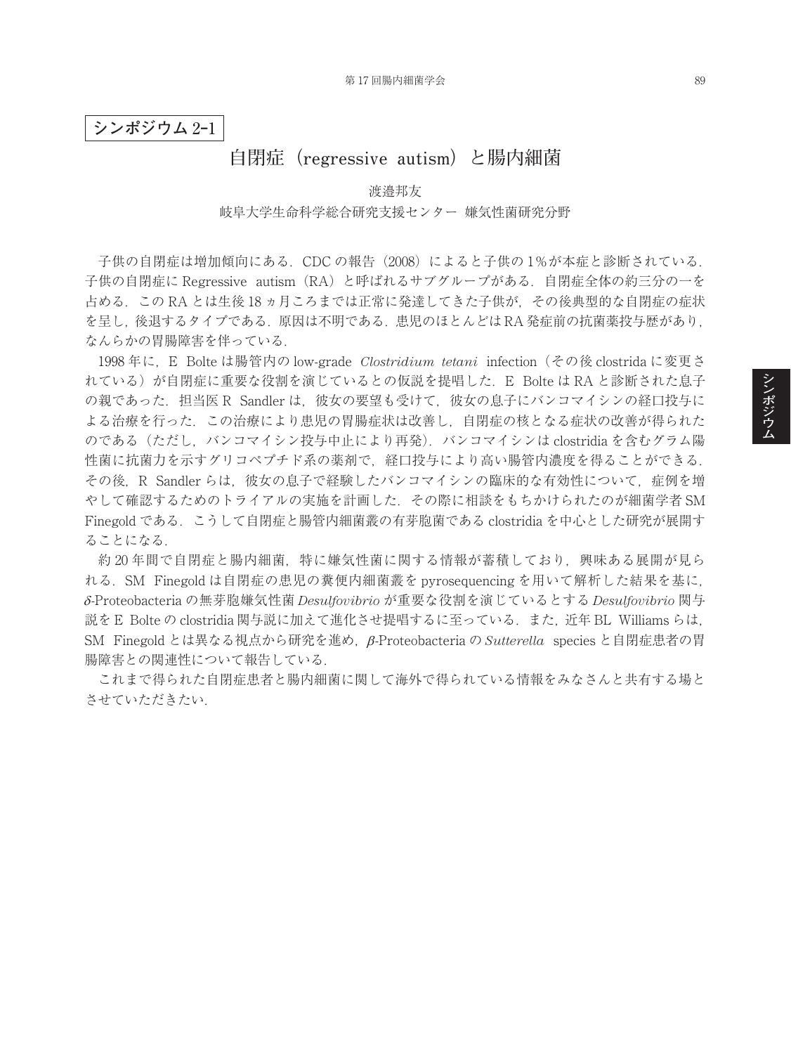**シンポジウム** 2**‒**1

## **自閉症(regressive autism)と腸内細菌**

渡邉邦友

## 岐阜大学生命科学総合研究支援センター 嫌気性菌研究分野

子供の自閉症は増加傾向にある. CDC の報告 (2008) によると子供の 1%が本症と診断されている. 子供の自閉症に Regressive autism(RA)と呼ばれるサブグループがある.自閉症全体の約三分の一を 占める.この RA とは生後 18 ヵ月ころまでは正常に発達してきた子供が,その後典型的な自閉症の症状 を呈し,後退するタイプである.原因は不明である.患児のほとんどは RA 発症前の抗菌薬投与歴があり, なんらかの胃腸障害を伴っている.

1998 年に,E Bolte は腸管内の low-grade *Clostridium tetani* infection(その後 clostrida に変更さ れている)が自閉症に重要な役割を演じているとの仮説を提唱した. E Bolte は RA と診断された息子 の親であった. 担当医 R Sandler は、彼女の要望も受けて、彼女の息子にバンコマイシンの経口投与に よる治療を行った.この治療により患児の胃腸症状は改善し,自閉症の核となる症状の改善が得られた のである(ただし、バンコマイシン投与中止により再発). バンコマイシンは clostridia を含むグラム陽 性菌に抗菌力を示すグリコペプチド系の薬剤で、経口投与により高い腸管内濃度を得ることができる. その後、R Sandler らは、彼女の息子で経験したバンコマイシンの臨床的な有効性について、症例を増 やして確認するためのトライアルの実施を計画した.その際に相談をもちかけられたのが細菌学者 SM Finegold である.こうして自閉症と腸管内細菌叢の有芽胞菌である clostridia を中心とした研究が展開す ることになる.

約 20年間で自閉症と腸内細菌、特に嫌気性菌に関する情報が蓄積しており、興味ある展開が見ら れる.SM Finegold は自閉症の患児の糞便内細菌叢を pyrosequencing を用いて解析した結果を基に, δ-Proteobacteria の無芽胞嫌気性菌 *Desulfovibrio* が重要な役割を演じているとする *Desulfovibrio* 関与 説を E Bolte の clostridia 関与説に加えて進化させ提唱するに至っている.また,近年 BL Williams らは, SM Finegold とは異なる視点から研究を進め, β-Proteobacteria の Sutterella species と自閉症患者の胃 腸障害との関連性について報告している.

これまで得られた自閉症患者と腸内細菌に関して海外で得られている情報をみなさんと共有する場と させていただきたい.